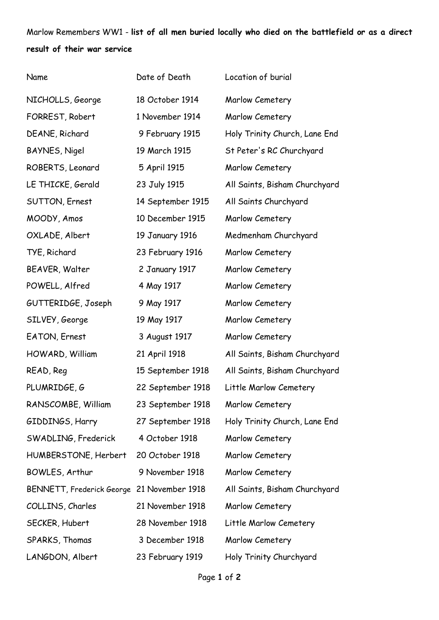Marlow Remembers WW1 - **list of all men buried locally who died on the battlefield or as a direct result of their war service**

| Name                                       | Date of Death     | Location of burial            |
|--------------------------------------------|-------------------|-------------------------------|
| NICHOLLS, George                           | 18 October 1914   | Marlow Cemetery               |
| FORREST, Robert                            | 1 November 1914   | Marlow Cemetery               |
| DEANE, Richard                             | 9 February 1915   | Holy Trinity Church, Lane End |
| BAYNES, Nigel                              | 19 March 1915     | St Peter's RC Churchyard      |
| ROBERTS, Leonard                           | 5 April 1915      | Marlow Cemetery               |
| LE THICKE, Gerald                          | 23 July 1915      | All Saints, Bisham Churchyard |
| SUTTON, Ernest                             | 14 September 1915 | All Saints Churchyard         |
| MOODY, Amos                                | 10 December 1915  | Marlow Cemetery               |
| OXLADE, Albert                             | 19 January 1916   | Medmenham Churchyard          |
| TYE, Richard                               | 23 February 1916  | Marlow Cemetery               |
| BEAVER, Walter                             | 2 January 1917    | Marlow Cemetery               |
| POWELL, Alfred                             | 4 May 1917        | Marlow Cemetery               |
| GUTTERIDGE, Joseph                         | 9 May 1917        | Marlow Cemetery               |
| SILVEY, George                             | 19 May 1917       | Marlow Cemetery               |
| EATON, Ernest                              | 3 August 1917     | Marlow Cemetery               |
| HOWARD, William                            | 21 April 1918     | All Saints, Bisham Churchyard |
| READ, Reg                                  | 15 September 1918 | All Saints, Bisham Churchyard |
| PLUMRIDGE, G                               | 22 September 1918 | Little Marlow Cemetery        |
| RANSCOMBE, William                         | 23 September 1918 | Marlow Cemetery               |
| GIDDINGS, Harry                            | 27 September 1918 | Holy Trinity Church, Lane End |
| SWADLING, Frederick                        | 4 October 1918    | Marlow Cemetery               |
| HUMBERSTONE, Herbert                       | 20 October 1918   | Marlow Cemetery               |
| BOWLES, Arthur                             | 9 November 1918   | Marlow Cemetery               |
| BENNETT, Frederick George 21 November 1918 |                   | All Saints, Bisham Churchyard |
| COLLINS, Charles                           | 21 November 1918  | Marlow Cemetery               |
| SECKER, Hubert                             | 28 November 1918  | Little Marlow Cemetery        |
| SPARKS, Thomas                             | 3 December 1918   | Marlow Cemetery               |
| LANGDON, Albert                            | 23 February 1919  | Holy Trinity Churchyard       |